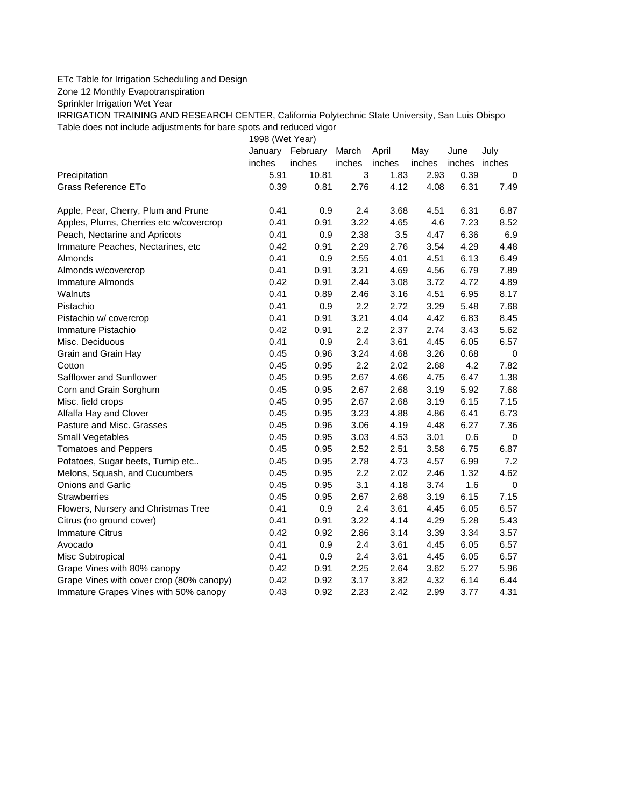## ETc Table for Irrigation Scheduling and Design

Zone 12 Monthly Evapotranspiration

Sprinkler Irrigation Wet Year

IRRIGATION TRAINING AND RESEARCH CENTER, California Polytechnic State University, San Luis Obispo Table does not include adjustments for bare spots and reduced vigor

1998 (Wet Year)

|                                          | January | February | March  | April  | May    | June          | July      |
|------------------------------------------|---------|----------|--------|--------|--------|---------------|-----------|
|                                          | inches  | inches   | inches | inches | inches | inches inches |           |
| Precipitation                            | 5.91    | 10.81    | 3      | 1.83   | 2.93   | 0.39          | 0         |
| <b>Grass Reference ETo</b>               | 0.39    | 0.81     | 2.76   | 4.12   | 4.08   | 6.31          | 7.49      |
| Apple, Pear, Cherry, Plum and Prune      | 0.41    | 0.9      | 2.4    | 3.68   | 4.51   | 6.31          | 6.87      |
| Apples, Plums, Cherries etc w/covercrop  | 0.41    | 0.91     | 3.22   | 4.65   | 4.6    | 7.23          | 8.52      |
| Peach, Nectarine and Apricots            | 0.41    | 0.9      | 2.38   | 3.5    | 4.47   | 6.36          | 6.9       |
| Immature Peaches, Nectarines, etc        | 0.42    | 0.91     | 2.29   | 2.76   | 3.54   | 4.29          | 4.48      |
| Almonds                                  | 0.41    | 0.9      | 2.55   | 4.01   | 4.51   | 6.13          | 6.49      |
| Almonds w/covercrop                      | 0.41    | 0.91     | 3.21   | 4.69   | 4.56   | 6.79          | 7.89      |
| Immature Almonds                         | 0.42    | 0.91     | 2.44   | 3.08   | 3.72   | 4.72          | 4.89      |
| <b>Walnuts</b>                           | 0.41    | 0.89     | 2.46   | 3.16   | 4.51   | 6.95          | 8.17      |
| Pistachio                                | 0.41    | 0.9      | 2.2    | 2.72   | 3.29   | 5.48          | 7.68      |
| Pistachio w/ covercrop                   | 0.41    | 0.91     | 3.21   | 4.04   | 4.42   | 6.83          | 8.45      |
| Immature Pistachio                       | 0.42    | 0.91     | 2.2    | 2.37   | 2.74   | 3.43          | 5.62      |
| Misc. Deciduous                          | 0.41    | 0.9      | 2.4    | 3.61   | 4.45   | 6.05          | 6.57      |
| Grain and Grain Hay                      | 0.45    | 0.96     | 3.24   | 4.68   | 3.26   | 0.68          | 0         |
| Cotton                                   | 0.45    | 0.95     | 2.2    | 2.02   | 2.68   | 4.2           | 7.82      |
| Safflower and Sunflower                  | 0.45    | 0.95     | 2.67   | 4.66   | 4.75   | 6.47          | 1.38      |
| Corn and Grain Sorghum                   | 0.45    | 0.95     | 2.67   | 2.68   | 3.19   | 5.92          | 7.68      |
| Misc. field crops                        | 0.45    | 0.95     | 2.67   | 2.68   | 3.19   | 6.15          | 7.15      |
| Alfalfa Hay and Clover                   | 0.45    | 0.95     | 3.23   | 4.88   | 4.86   | 6.41          | 6.73      |
| Pasture and Misc. Grasses                | 0.45    | 0.96     | 3.06   | 4.19   | 4.48   | 6.27          | 7.36      |
| Small Vegetables                         | 0.45    | 0.95     | 3.03   | 4.53   | 3.01   | 0.6           | $\pmb{0}$ |
| <b>Tomatoes and Peppers</b>              | 0.45    | 0.95     | 2.52   | 2.51   | 3.58   | 6.75          | 6.87      |
| Potatoes, Sugar beets, Turnip etc        | 0.45    | 0.95     | 2.78   | 4.73   | 4.57   | 6.99          | 7.2       |
| Melons, Squash, and Cucumbers            | 0.45    | 0.95     | 2.2    | 2.02   | 2.46   | 1.32          | 4.62      |
| Onions and Garlic                        | 0.45    | 0.95     | 3.1    | 4.18   | 3.74   | 1.6           | 0         |
| <b>Strawberries</b>                      | 0.45    | 0.95     | 2.67   | 2.68   | 3.19   | 6.15          | 7.15      |
| Flowers, Nursery and Christmas Tree      | 0.41    | 0.9      | 2.4    | 3.61   | 4.45   | 6.05          | 6.57      |
| Citrus (no ground cover)                 | 0.41    | 0.91     | 3.22   | 4.14   | 4.29   | 5.28          | 5.43      |
| <b>Immature Citrus</b>                   | 0.42    | 0.92     | 2.86   | 3.14   | 3.39   | 3.34          | 3.57      |
| Avocado                                  | 0.41    | 0.9      | 2.4    | 3.61   | 4.45   | 6.05          | 6.57      |
| Misc Subtropical                         | 0.41    | 0.9      | 2.4    | 3.61   | 4.45   | 6.05          | 6.57      |
| Grape Vines with 80% canopy              | 0.42    | 0.91     | 2.25   | 2.64   | 3.62   | 5.27          | 5.96      |
| Grape Vines with cover crop (80% canopy) | 0.42    | 0.92     | 3.17   | 3.82   | 4.32   | 6.14          | 6.44      |
| Immature Grapes Vines with 50% canopy    | 0.43    | 0.92     | 2.23   | 2.42   | 2.99   | 3.77          | 4.31      |